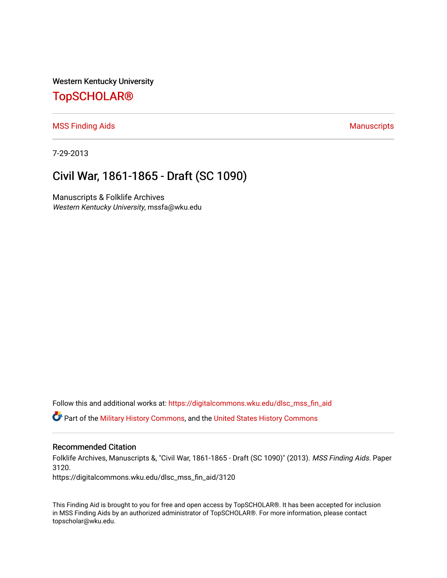Western Kentucky University

## [TopSCHOLAR®](https://digitalcommons.wku.edu/)

#### [MSS Finding Aids](https://digitalcommons.wku.edu/dlsc_mss_fin_aid) **Manuscripts** [Manuscripts](https://digitalcommons.wku.edu/dlsc_mss) **Manuscripts**

7-29-2013

# Civil War, 1861-1865 - Draft (SC 1090)

Manuscripts & Folklife Archives Western Kentucky University, mssfa@wku.edu

Follow this and additional works at: [https://digitalcommons.wku.edu/dlsc\\_mss\\_fin\\_aid](https://digitalcommons.wku.edu/dlsc_mss_fin_aid?utm_source=digitalcommons.wku.edu%2Fdlsc_mss_fin_aid%2F3120&utm_medium=PDF&utm_campaign=PDFCoverPages)  **C** Part of the [Military History Commons](http://network.bepress.com/hgg/discipline/504?utm_source=digitalcommons.wku.edu%2Fdlsc_mss_fin_aid%2F3120&utm_medium=PDF&utm_campaign=PDFCoverPages), and the [United States History Commons](http://network.bepress.com/hgg/discipline/495?utm_source=digitalcommons.wku.edu%2Fdlsc_mss_fin_aid%2F3120&utm_medium=PDF&utm_campaign=PDFCoverPages)

#### Recommended Citation

Folklife Archives, Manuscripts &, "Civil War, 1861-1865 - Draft (SC 1090)" (2013). MSS Finding Aids. Paper 3120.

https://digitalcommons.wku.edu/dlsc\_mss\_fin\_aid/3120

This Finding Aid is brought to you for free and open access by TopSCHOLAR®. It has been accepted for inclusion in MSS Finding Aids by an authorized administrator of TopSCHOLAR®. For more information, please contact topscholar@wku.edu.